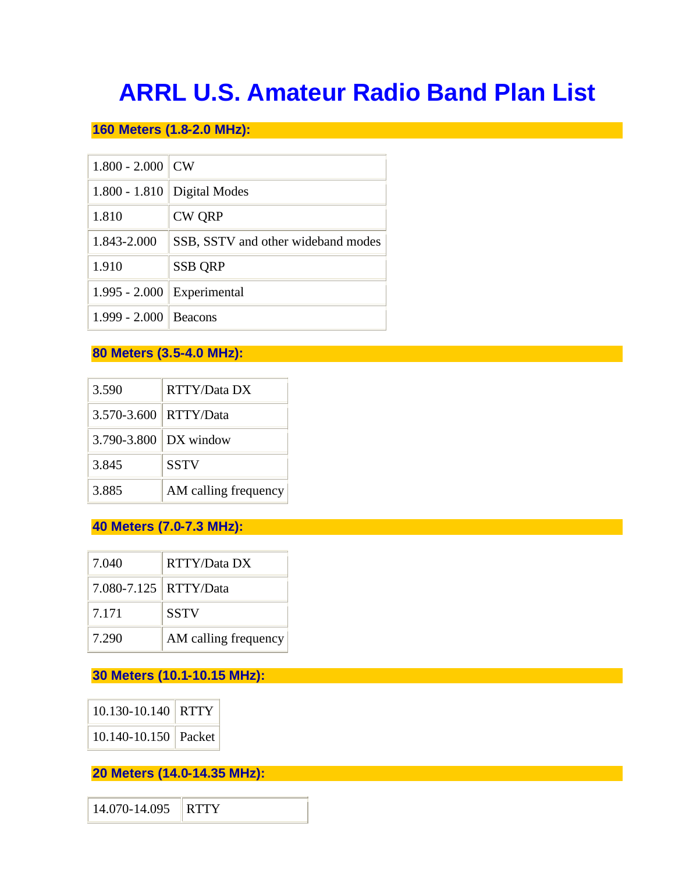# **ARRL U.S. Amateur Radio Band Plan List**

### **160 Meters (1.8-2.0 MHz):**

| $1.800 - 2.000$ | <b>CW</b>                          |
|-----------------|------------------------------------|
| $1.800 - 1.810$ | Digital Modes                      |
| 1.810           | <b>CW QRP</b>                      |
| 1.843-2.000     | SSB, SSTV and other wideband modes |
| 1.910           | <b>SSB ORP</b>                     |
| $1.995 - 2.000$ | Experimental                       |
| $1.999 - 2.000$ | <b>Beacons</b>                     |

#### **80 Meters (3.5-4.0 MHz):**

| 3.590       | RTTY/Data DX         |
|-------------|----------------------|
| 3.570-3.600 | RTTY/Data            |
| 3.790-3.800 | DX window            |
| 3.845       | <b>SSTV</b>          |
| 3.885       | AM calling frequency |

#### **40 Meters (7.0-7.3 MHz):**

| 7.040                   | RTTY/Data DX         |
|-------------------------|----------------------|
| 7.080-7.125   RTTY/Data |                      |
| 7.171                   | <b>SSTV</b>          |
| 7.290                   | AM calling frequency |

### **30 Meters (10.1-10.15 MHz):**

| 10.130-10.140   RTTY |  |
|----------------------|--|
| 10.140-10.150 Packet |  |

**20 Meters (14.0-14.35 MHz):**

14.070-14.095 RTTY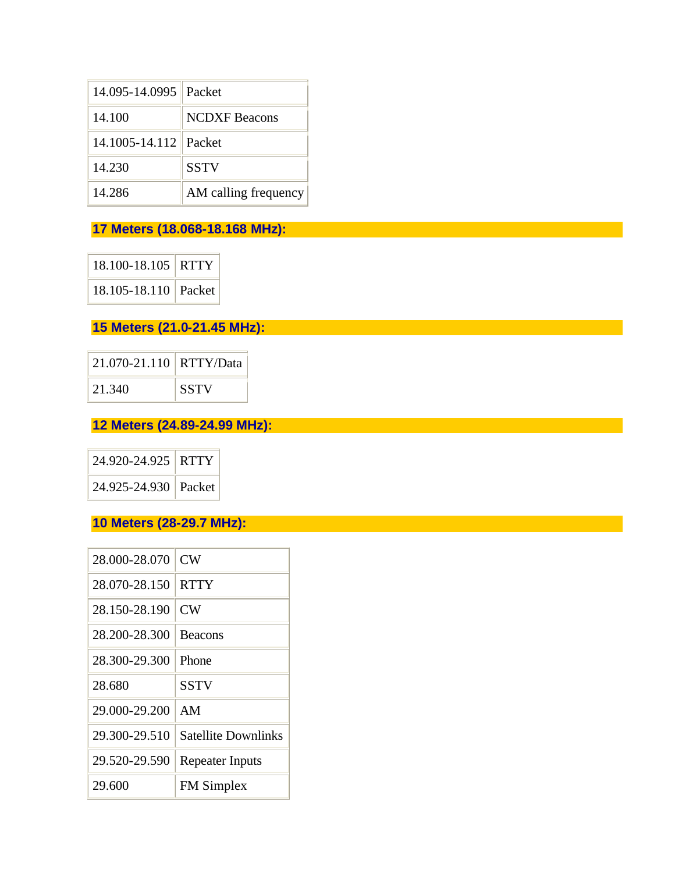| 14.095-14.0995        | Packet               |
|-----------------------|----------------------|
| 14.100                | <b>NCDXF</b> Beacons |
| 14.1005-14.112 Packet |                      |
| 14.230                | <b>SSTV</b>          |
| 14.286                | AM calling frequency |

### **17 Meters (18.068-18.168 MHz):**

18.100-18.105 RTTY 18.105-18.110 Packet

### **15 Meters (21.0-21.45 MHz):**

| 21.070-21.110 RTTY/Data |             |
|-------------------------|-------------|
| 21.340                  | <b>SSTV</b> |

### **12 Meters (24.89-24.99 MHz):**

| 24.920-24.925 RTTY   |  |
|----------------------|--|
| 24.925-24.930 Packet |  |

### **10 Meters (28-29.7 MHz):**

| 28.000-28.070 | CW                         |
|---------------|----------------------------|
| 28.070-28.150 | <b>RTTY</b>                |
| 28.150-28.190 | <b>CW</b>                  |
| 28.200-28.300 | <b>Beacons</b>             |
| 28.300-29.300 | Phone                      |
| 28.680        | <b>SSTV</b>                |
| 29.000-29.200 | AM                         |
| 29.300-29.510 | <b>Satellite Downlinks</b> |
| 29.520-29.590 | <b>Repeater Inputs</b>     |
| 29.600        | <b>FM</b> Simplex          |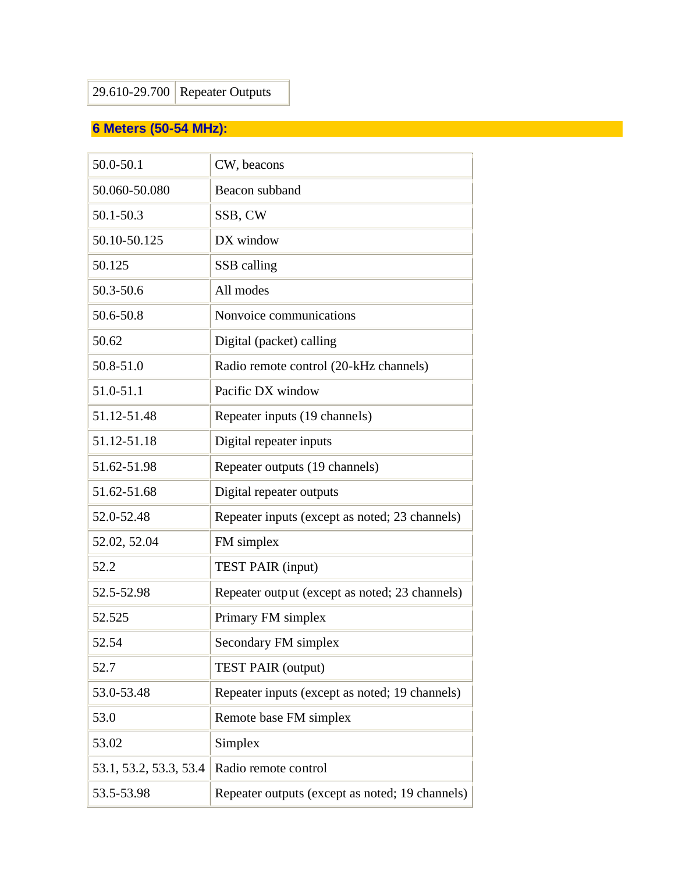# **6 Meters (50-54 MHz):**

| 50.0-50.1              | CW, beacons                                     |
|------------------------|-------------------------------------------------|
| 50.060-50.080          | Beacon subband                                  |
| 50.1-50.3              | SSB, CW                                         |
| 50.10-50.125           | DX window                                       |
| 50.125                 | SSB calling                                     |
| 50.3-50.6              | All modes                                       |
| 50.6-50.8              | Nonvoice communications                         |
| 50.62                  | Digital (packet) calling                        |
| 50.8-51.0              | Radio remote control (20-kHz channels)          |
| 51.0-51.1              | Pacific DX window                               |
| 51.12-51.48            | Repeater inputs (19 channels)                   |
| 51.12-51.18            | Digital repeater inputs                         |
| 51.62-51.98            | Repeater outputs (19 channels)                  |
| 51.62-51.68            | Digital repeater outputs                        |
| 52.0-52.48             | Repeater inputs (except as noted; 23 channels)  |
| 52.02, 52.04           | FM simplex                                      |
| 52.2                   | <b>TEST PAIR (input)</b>                        |
| 52.5-52.98             | Repeater output (except as noted; 23 channels)  |
| 52.525                 | Primary FM simplex                              |
| 52.54                  | Secondary FM simplex                            |
| 52.7                   | <b>TEST PAIR (output)</b>                       |
| 53.0-53.48             | Repeater inputs (except as noted; 19 channels)  |
| 53.0                   | Remote base FM simplex                          |
| 53.02                  | Simplex                                         |
| 53.1, 53.2, 53.3, 53.4 | Radio remote control                            |
| 53.5-53.98             | Repeater outputs (except as noted; 19 channels) |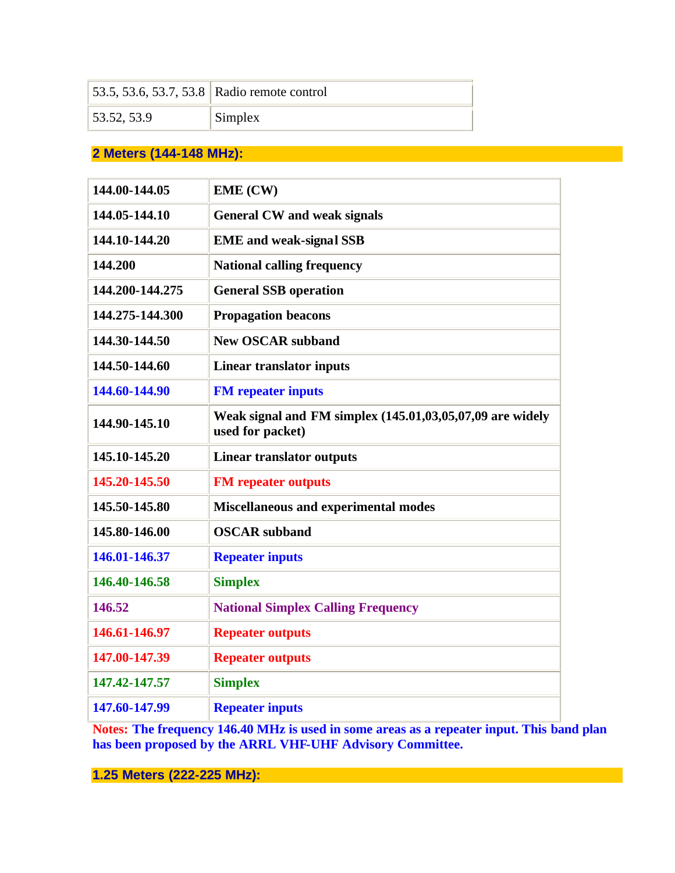|             | 53.5, 53.6, 53.7, 53.8 Radio remote control |
|-------------|---------------------------------------------|
| 53.52, 53.9 | Simplex                                     |

### **2 Meters (144-148 MHz):**

| 144.00-144.05   | <b>EME (CW)</b>                                                               |
|-----------------|-------------------------------------------------------------------------------|
| 144.05-144.10   | <b>General CW and weak signals</b>                                            |
| 144.10-144.20   | <b>EME</b> and weak-signal SSB                                                |
| 144.200         | <b>National calling frequency</b>                                             |
| 144.200-144.275 | <b>General SSB operation</b>                                                  |
| 144.275-144.300 | <b>Propagation beacons</b>                                                    |
| 144.30-144.50   | <b>New OSCAR subband</b>                                                      |
| 144.50-144.60   | <b>Linear translator inputs</b>                                               |
| 144.60-144.90   | <b>FM</b> repeater inputs                                                     |
| 144.90-145.10   | Weak signal and FM simplex (145.01,03,05,07,09 are widely<br>used for packet) |
| 145.10-145.20   | <b>Linear translator outputs</b>                                              |
| 145.20-145.50   | <b>FM</b> repeater outputs                                                    |
| 145.50-145.80   | <b>Miscellaneous and experimental modes</b>                                   |
| 145.80-146.00   | <b>OSCAR</b> subband                                                          |
| 146.01-146.37   | <b>Repeater inputs</b>                                                        |
| 146.40-146.58   | <b>Simplex</b>                                                                |
| 146.52          | <b>National Simplex Calling Frequency</b>                                     |
| 146.61-146.97   | <b>Repeater outputs</b>                                                       |
| 147.00-147.39   | <b>Repeater outputs</b>                                                       |
| 147.42-147.57   | <b>Simplex</b>                                                                |
| 147.60-147.99   | <b>Repeater inputs</b>                                                        |

**Notes: The frequency 146.40 MHz is used in some areas as a repeater input. This band plan has been proposed by the ARRL VHF-UHF Advisory Committee.** 

**1.25 Meters (222-225 MHz):**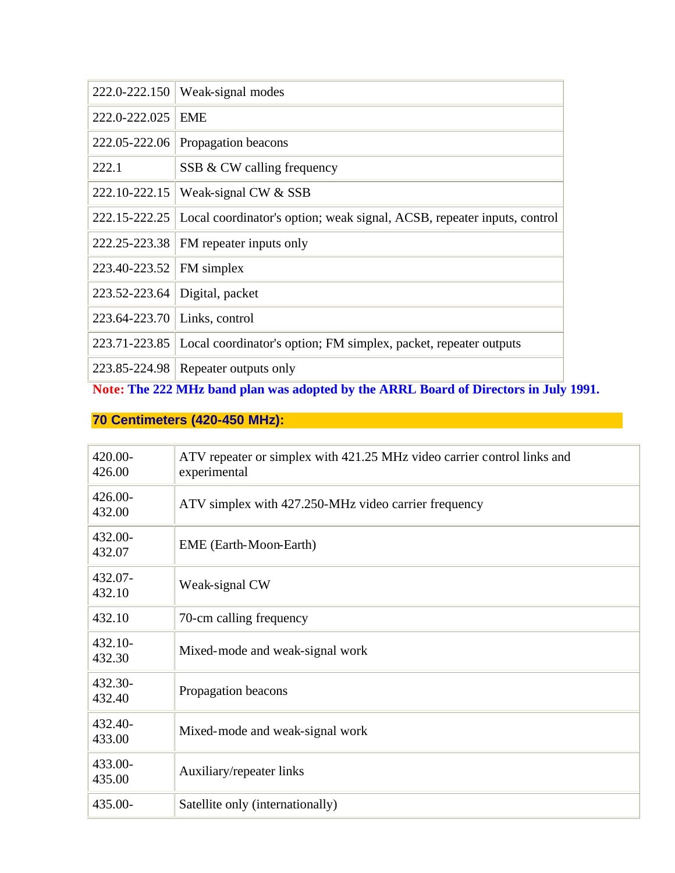| 222.0-222.150                | Weak-signal modes                                                                              |
|------------------------------|------------------------------------------------------------------------------------------------|
| 222.0-222.025                | <b>EME</b>                                                                                     |
|                              | 222.05-222.06 Propagation beacons                                                              |
| 222.1                        | SSB & CW calling frequency                                                                     |
|                              | 222.10-222.15   Weak-signal CW & SSB                                                           |
|                              | 222.15-222.25 Local coordinator's option; weak signal, ACSB, repeater inputs, control          |
|                              | 222.25-223.38   FM repeater inputs only                                                        |
| 223.40-223.52   FM simplex   |                                                                                                |
|                              | 223.52-223.64 Digital, packet                                                                  |
| 223.64-223.70 Links, control |                                                                                                |
|                              | 223.71-223.85 Local coordinator's option; FM simplex, packet, repeater outputs                 |
| <b>CONTENT</b>               | 223.85-224.98 Repeater outputs only<br>$\mathbf{r}$<br>AAA 3 ATT 1 1 1 1<br>0.72<br>. .<br>. . |

**Note: The 222 MHz band plan was adopted by the ARRL Board of Directors in July 1991.** 

# **70 Centimeters (420-450 MHz):**

| 420.00-<br>426.00    | ATV repeater or simplex with 421.25 MHz video carrier control links and<br>experimental |
|----------------------|-----------------------------------------------------------------------------------------|
| $426.00 -$<br>432.00 | ATV simplex with 427.250-MHz video carrier frequency                                    |
| 432.00-<br>432.07    | <b>EME</b> (Earth-Moon-Earth)                                                           |
| 432.07-<br>432.10    | Weak-signal CW                                                                          |
| 432.10               | 70-cm calling frequency                                                                 |
| $432.10-$<br>432.30  | Mixed-mode and weak-signal work                                                         |
| 432.30-<br>432.40    | Propagation beacons                                                                     |
| 432.40-<br>433.00    | Mixed-mode and weak-signal work                                                         |
| 433.00-<br>435.00    | Auxiliary/repeater links                                                                |
| 435.00-              | Satellite only (internationally)                                                        |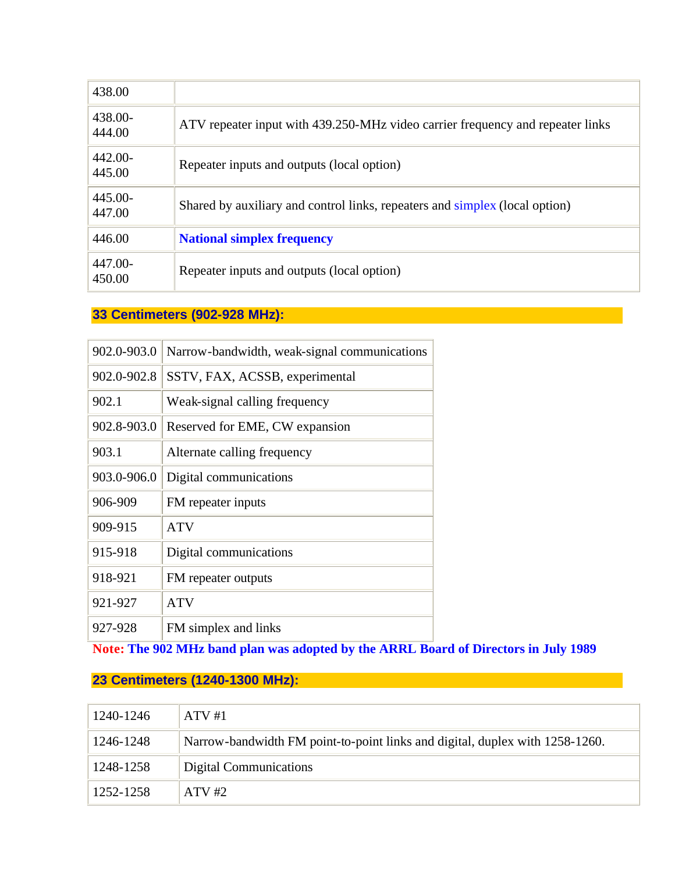| 438.00            |                                                                                |
|-------------------|--------------------------------------------------------------------------------|
| 438.00-<br>444.00 | ATV repeater input with 439.250-MHz video carrier frequency and repeater links |
| 442.00-<br>445.00 | Repeater inputs and outputs (local option)                                     |
| 445.00-<br>447.00 | Shared by auxiliary and control links, repeaters and simplex (local option)    |
| 446.00            | <b>National simplex frequency</b>                                              |
| 447.00-<br>450.00 | Repeater inputs and outputs (local option)                                     |

### **33 Centimeters (902-928 MHz):**

| 902.0-903.0 | Narrow-bandwidth, weak-signal communications |
|-------------|----------------------------------------------|
| 902.0-902.8 | SSTV, FAX, ACSSB, experimental               |
| 902.1       | Weak-signal calling frequency                |
| 902.8-903.0 | Reserved for EME, CW expansion               |
| 903.1       | Alternate calling frequency                  |
| 903.0-906.0 | Digital communications                       |
| 906-909     | FM repeater inputs                           |
| 909-915     | <b>ATV</b>                                   |
| 915-918     | Digital communications                       |
| 918-921     | FM repeater outputs                          |
| 921-927     | <b>ATV</b>                                   |
| 927-928     | FM simplex and links                         |

**Note: The 902 MHz band plan was adopted by the ARRL Board of Directors in July 1989** 

### **23 Centimeters (1240-1300 MHz):**

| 1240-1246 | $ATV$ #1                                                                     |
|-----------|------------------------------------------------------------------------------|
| 1246-1248 | Narrow-bandwidth FM point-to-point links and digital, duplex with 1258-1260. |
| 1248-1258 | Digital Communications                                                       |
| 1252-1258 | $ATV$ #2                                                                     |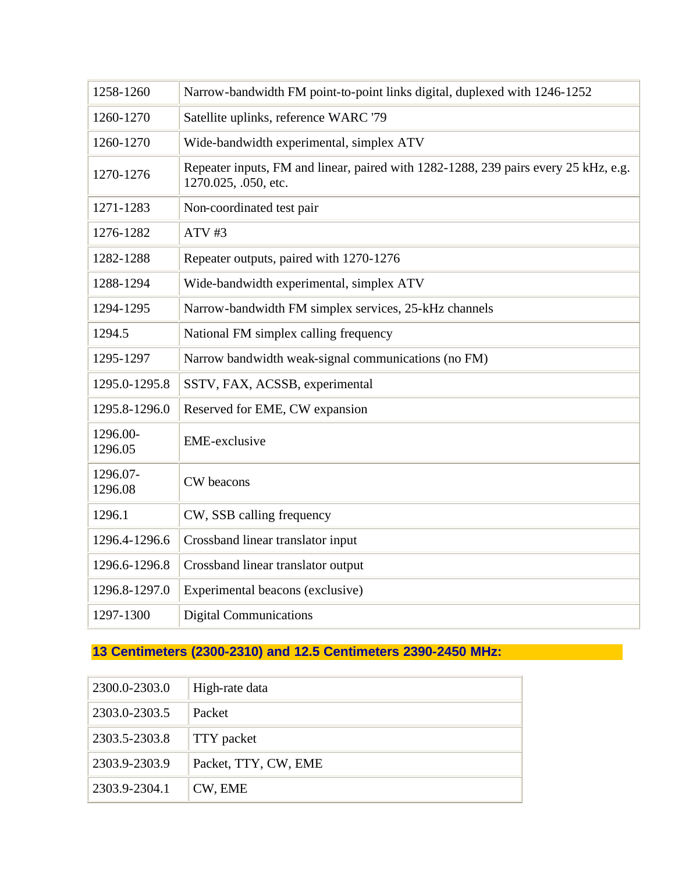| 1258-1260           | Narrow-bandwidth FM point-to-point links digital, duplexed with 1246-1252                                   |
|---------------------|-------------------------------------------------------------------------------------------------------------|
| 1260-1270           | Satellite uplinks, reference WARC '79                                                                       |
| 1260-1270           | Wide-bandwidth experimental, simplex ATV                                                                    |
| 1270-1276           | Repeater inputs, FM and linear, paired with 1282-1288, 239 pairs every 25 kHz, e.g.<br>1270.025, .050, etc. |
| 1271-1283           | Non-coordinated test pair                                                                                   |
| 1276-1282           | $ATV$ #3                                                                                                    |
| 1282-1288           | Repeater outputs, paired with 1270-1276                                                                     |
| 1288-1294           | Wide-bandwidth experimental, simplex ATV                                                                    |
| 1294-1295           | Narrow-bandwidth FM simplex services, 25-kHz channels                                                       |
| 1294.5              | National FM simplex calling frequency                                                                       |
| 1295-1297           | Narrow bandwidth weak-signal communications (no FM)                                                         |
| 1295.0-1295.8       | SSTV, FAX, ACSSB, experimental                                                                              |
| 1295.8-1296.0       | Reserved for EME, CW expansion                                                                              |
| 1296.00-<br>1296.05 | <b>EME-exclusive</b>                                                                                        |
| 1296.07-<br>1296.08 | CW beacons                                                                                                  |
| 1296.1              | CW, SSB calling frequency                                                                                   |
| 1296.4-1296.6       | Crossband linear translator input                                                                           |
| 1296.6-1296.8       | Crossband linear translator output                                                                          |
| 1296.8-1297.0       | Experimental beacons (exclusive)                                                                            |
| 1297-1300           | <b>Digital Communications</b>                                                                               |

# **13 Centimeters (2300-2310) and 12.5 Centimeters 2390-2450 MHz:**

| 2300.0-2303.0 | High-rate data       |
|---------------|----------------------|
| 2303.0-2303.5 | Packet               |
| 2303.5-2303.8 | TTY packet           |
| 2303.9-2303.9 | Packet, TTY, CW, EME |
| 2303.9-2304.1 | CW, EME              |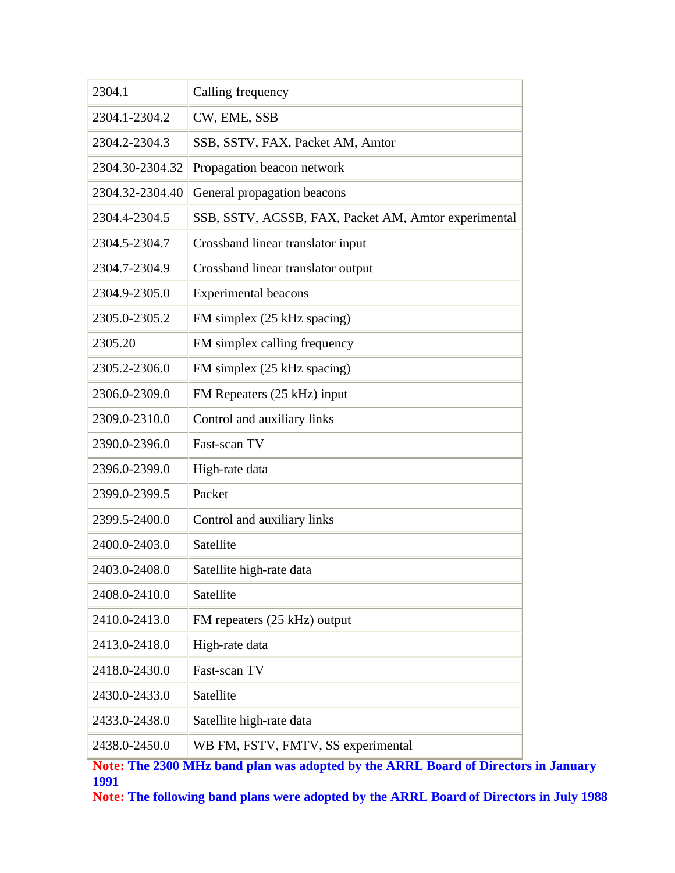| 2304.1          | Calling frequency                                    |
|-----------------|------------------------------------------------------|
| 2304.1-2304.2   | CW, EME, SSB                                         |
| 2304.2-2304.3   | SSB, SSTV, FAX, Packet AM, Amtor                     |
| 2304.30-2304.32 | Propagation beacon network                           |
| 2304.32-2304.40 | General propagation beacons                          |
| 2304.4-2304.5   | SSB, SSTV, ACSSB, FAX, Packet AM, Amtor experimental |
| 2304.5-2304.7   | Crossband linear translator input                    |
| 2304.7-2304.9   | Crossband linear translator output                   |
| 2304.9-2305.0   | <b>Experimental beacons</b>                          |
| 2305.0-2305.2   | FM simplex (25 kHz spacing)                          |
| 2305.20         | FM simplex calling frequency                         |
| 2305.2-2306.0   | FM simplex (25 kHz spacing)                          |
| 2306.0-2309.0   | FM Repeaters (25 kHz) input                          |
| 2309.0-2310.0   | Control and auxiliary links                          |
| 2390.0-2396.0   | Fast-scan TV                                         |
| 2396.0-2399.0   | High-rate data                                       |
| 2399.0-2399.5   | Packet                                               |
| 2399.5-2400.0   | Control and auxiliary links                          |
| 2400.0-2403.0   | Satellite                                            |
| 2403.0-2408.0   | Satellite high-rate data                             |
| 2408.0-2410.0   | Satellite                                            |
| 2410.0-2413.0   | FM repeaters (25 kHz) output                         |
| 2413.0-2418.0   | High-rate data                                       |
| 2418.0-2430.0   | Fast-scan TV                                         |
| 2430.0-2433.0   | Satellite                                            |
| 2433.0-2438.0   | Satellite high-rate data                             |
| 2438.0-2450.0   | WB FM, FSTV, FMTV, SS experimental                   |

**Note: The 2300 MHz band plan was adopted by the ARRL Board of Directors in January 1991** 

**Note: The following band plans were adopted by the ARRL Board of Directors in July 1988**